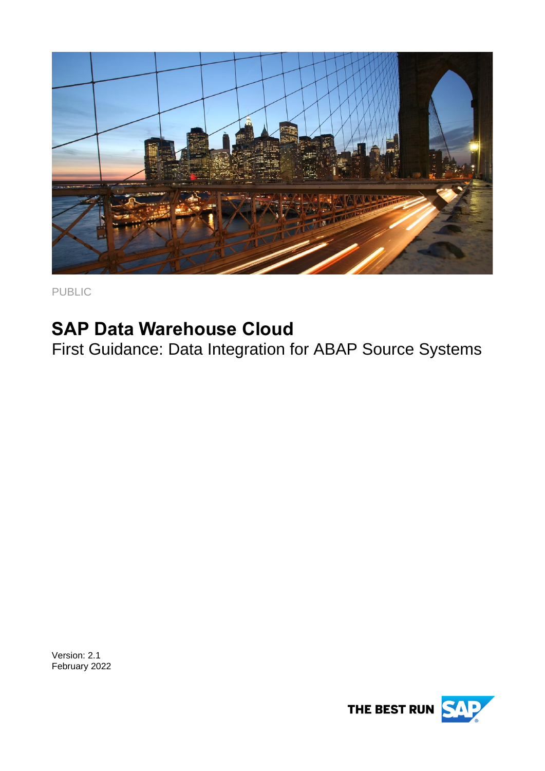

PUBLIC

# **SAP Data Warehouse Cloud**

First Guidance: Data Integration for ABAP Source Systems

Version: 2.1 February 2022

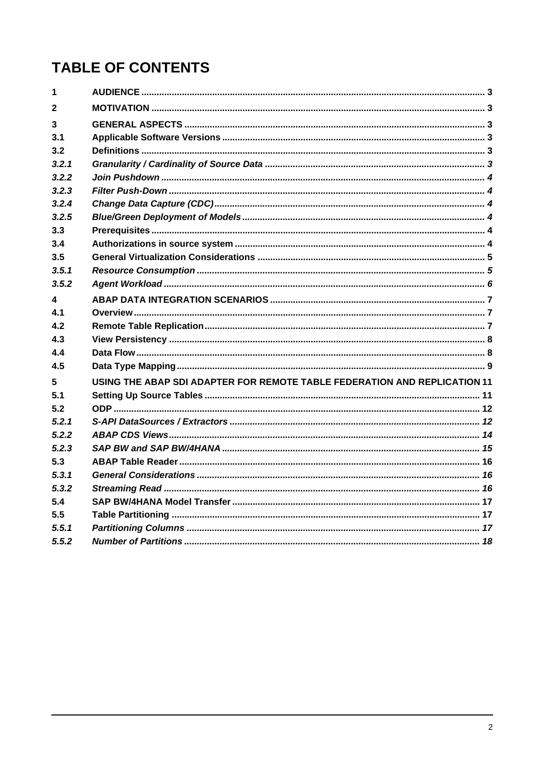# **TABLE OF CONTENTS**

| 1     |                                                                           |  |
|-------|---------------------------------------------------------------------------|--|
| 2     |                                                                           |  |
| 3     |                                                                           |  |
| 3.1   |                                                                           |  |
| 3.2   |                                                                           |  |
| 3.2.1 |                                                                           |  |
| 3.2.2 |                                                                           |  |
| 3.2.3 |                                                                           |  |
| 3.2.4 |                                                                           |  |
| 3.2.5 |                                                                           |  |
| 3.3   |                                                                           |  |
| 3.4   |                                                                           |  |
| 3.5   |                                                                           |  |
| 3.5.1 |                                                                           |  |
| 3.5.2 |                                                                           |  |
| 4     |                                                                           |  |
| 41    |                                                                           |  |
| 4.2   |                                                                           |  |
| 4.3   |                                                                           |  |
| 44    |                                                                           |  |
| 4.5   |                                                                           |  |
| 5     | USING THE ABAP SDI ADAPTER FOR REMOTE TABLE FEDERATION AND REPLICATION 11 |  |
| 5.1   |                                                                           |  |
| 5.2   |                                                                           |  |
| 5.2.1 |                                                                           |  |
| 5.2.2 |                                                                           |  |
| 5.2.3 |                                                                           |  |
| 5.3   |                                                                           |  |
| 5.3.1 |                                                                           |  |
| 5.3.2 |                                                                           |  |
| 5.4   |                                                                           |  |
| 5.5   |                                                                           |  |
| 5.5.1 |                                                                           |  |
| 5.5.2 |                                                                           |  |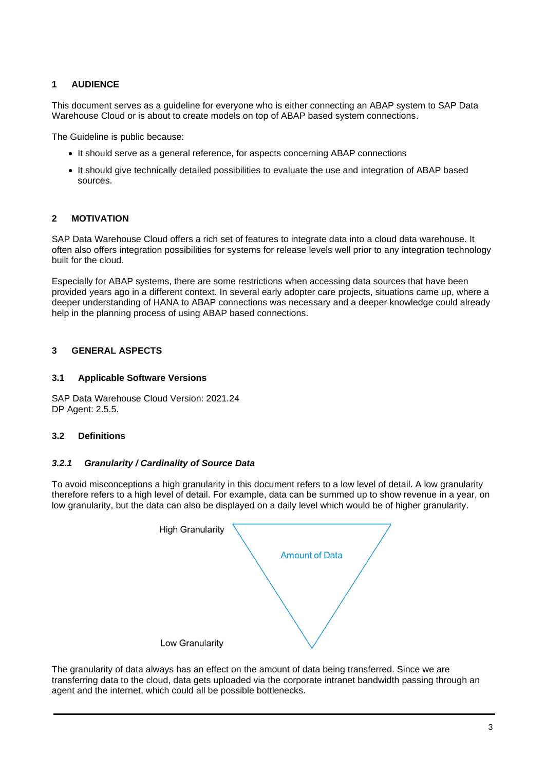### <span id="page-2-0"></span>**1 AUDIENCE**

This document serves as a guideline for everyone who is either connecting an ABAP system to SAP Data Warehouse Cloud or is about to create models on top of ABAP based system connections.

The Guideline is public because:

- It should serve as a general reference, for aspects concerning ABAP connections
- It should give technically detailed possibilities to evaluate the use and integration of ABAP based sources.

### <span id="page-2-1"></span>**2 MOTIVATION**

SAP Data Warehouse Cloud offers a rich set of features to integrate data into a cloud data warehouse. It often also offers integration possibilities for systems for release levels well prior to any integration technology built for the cloud.

Especially for ABAP systems, there are some restrictions when accessing data sources that have been provided years ago in a different context. In several early adopter care projects, situations came up, where a deeper understanding of HANA to ABAP connections was necessary and a deeper knowledge could already help in the planning process of using ABAP based connections.

### <span id="page-2-3"></span><span id="page-2-2"></span>**3 GENERAL ASPECTS**

### **3.1 Applicable Software Versions**

SAP Data Warehouse Cloud Version: 2021.24 DP Agent: 2.5.5.

### <span id="page-2-5"></span><span id="page-2-4"></span>**3.2 Definitions**

### *3.2.1 Granularity / Cardinality of Source Data*

To avoid misconceptions a high granularity in this document refers to a low level of detail. A low granularity therefore refers to a high level of detail. For example, data can be summed up to show revenue in a year, on low granularity, but the data can also be displayed on a daily level which would be of higher granularity.



The granularity of data always has an effect on the amount of data being transferred. Since we are transferring data to the cloud, data gets uploaded via the corporate intranet bandwidth passing through an agent and the internet, which could all be possible bottlenecks.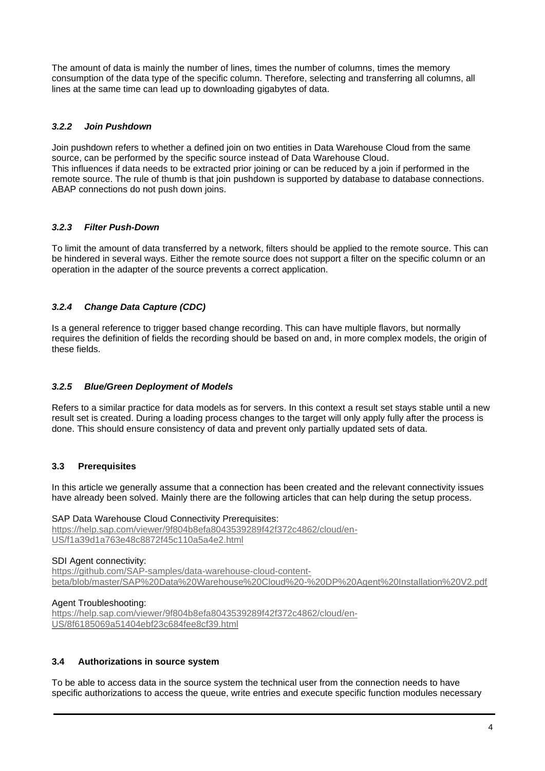The amount of data is mainly the number of lines, times the number of columns, times the memory consumption of the data type of the specific column. Therefore, selecting and transferring all columns, all lines at the same time can lead up to downloading gigabytes of data.

### <span id="page-3-0"></span>*3.2.2 Join Pushdown*

Join pushdown refers to whether a defined join on two entities in Data Warehouse Cloud from the same source, can be performed by the specific source instead of Data Warehouse Cloud. This influences if data needs to be extracted prior joining or can be reduced by a join if performed in the remote source. The rule of thumb is that join pushdown is supported by database to database connections. ABAP connections do not push down joins.

### <span id="page-3-1"></span>*3.2.3 Filter Push-Down*

To limit the amount of data transferred by a network, filters should be applied to the remote source. This can be hindered in several ways. Either the remote source does not support a filter on the specific column or an operation in the adapter of the source prevents a correct application.

### <span id="page-3-2"></span>*3.2.4 Change Data Capture (CDC)*

Is a general reference to trigger based change recording. This can have multiple flavors, but normally requires the definition of fields the recording should be based on and, in more complex models, the origin of these fields.

### <span id="page-3-3"></span>*3.2.5 Blue/Green Deployment of Models*

Refers to a similar practice for data models as for servers. In this context a result set stays stable until a new result set is created. During a loading process changes to the target will only apply fully after the process is done. This should ensure consistency of data and prevent only partially updated sets of data.

### <span id="page-3-4"></span>**3.3 Prerequisites**

In this article we generally assume that a connection has been created and the relevant connectivity issues have already been solved. Mainly there are the following articles that can help during the setup process.

### SAP Data Warehouse Cloud Connectivity Prerequisites:

[https://help.sap.com/viewer/9f804b8efa8043539289f42f372c4862/cloud/en-](https://help.sap.com/viewer/9f804b8efa8043539289f42f372c4862/cloud/en-US/f1a39d1a763e48c8872f45c110a5a4e2.html)[US/f1a39d1a763e48c8872f45c110a5a4e2.html](https://help.sap.com/viewer/9f804b8efa8043539289f42f372c4862/cloud/en-US/f1a39d1a763e48c8872f45c110a5a4e2.html)

### SDI Agent connectivity:

[https://github.com/SAP-samples/data-warehouse-cloud-content](https://github.com/SAP-samples/data-warehouse-cloud-content-beta/blob/master/SAP%20Data%20Warehouse%20Cloud%20-%20DP%20Agent%20Installation%20V2.pdf)[beta/blob/master/SAP%20Data%20Warehouse%20Cloud%20-%20DP%20Agent%20Installation%20V2.pdf](https://github.com/SAP-samples/data-warehouse-cloud-content-beta/blob/master/SAP%20Data%20Warehouse%20Cloud%20-%20DP%20Agent%20Installation%20V2.pdf)

### Agent Troubleshooting:

[https://help.sap.com/viewer/9f804b8efa8043539289f42f372c4862/cloud/en-](https://help.sap.com/viewer/9f804b8efa8043539289f42f372c4862/cloud/en-US/8f6185069a51404ebf23c684fee8cf39.html)[US/8f6185069a51404ebf23c684fee8cf39.html](https://help.sap.com/viewer/9f804b8efa8043539289f42f372c4862/cloud/en-US/8f6185069a51404ebf23c684fee8cf39.html)

### <span id="page-3-5"></span>**3.4 Authorizations in source system**

To be able to access data in the source system the technical user from the connection needs to have specific authorizations to access the queue, write entries and execute specific function modules necessary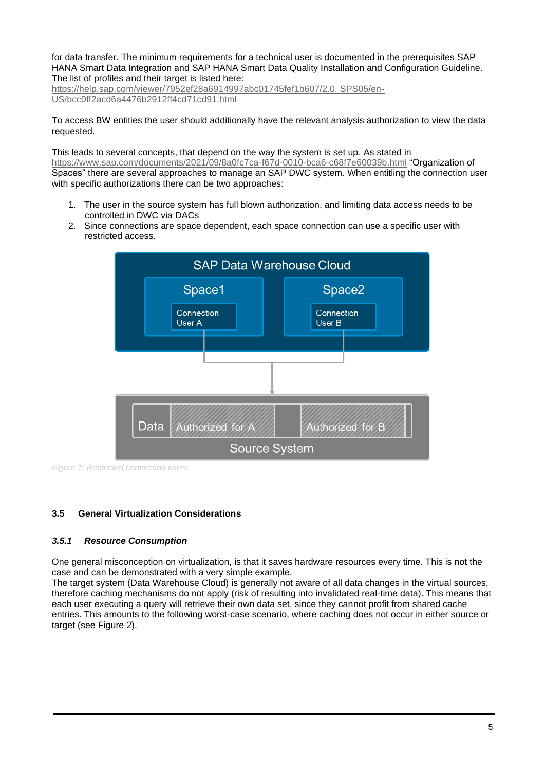for data transfer. The minimum requirements for a technical user is documented in the prerequisites SAP HANA Smart Data Integration and SAP HANA Smart Data Quality Installation and Configuration Guideline. The list of profiles and their target is listed here:

[https://help.sap.com/viewer/7952ef28a6914997abc01745fef1b607/2.0\\_SPS05/en-](https://help.sap.com/viewer/7952ef28a6914997abc01745fef1b607/2.0_SPS05/en-US/bcc0ff2acd6a4476b2912ff4cd71cd91.html)[US/bcc0ff2acd6a4476b2912ff4cd71cd91.html](https://help.sap.com/viewer/7952ef28a6914997abc01745fef1b607/2.0_SPS05/en-US/bcc0ff2acd6a4476b2912ff4cd71cd91.html)

To access BW entities the user should additionally have the relevant analysis authorization to view the data requested.

This leads to several concepts, that depend on the way the system is set up. As stated in <https://www.sap.com/documents/2021/09/8a0fc7ca-f67d-0010-bca6-c68f7e60039b.html> "Organization of Spaces" there are several approaches to manage an SAP DWC system. When entitling the connection user with specific authorizations there can be two approaches:

- 1. The user in the source system has full blown authorization, and limiting data access needs to be controlled in DWC via DACs
- 2. Since connections are space dependent, each space connection can use a specific user with restricted access.



*Figure 1: Restricted connection users*

### <span id="page-4-1"></span><span id="page-4-0"></span>**3.5 General Virtualization Considerations**

### *3.5.1 Resource Consumption*

One general misconception on virtualization, is that it saves hardware resources every time. This is not the case and can be demonstrated with a very simple example.

The target system (Data Warehouse Cloud) is generally not aware of all data changes in the virtual sources, therefore caching mechanisms do not apply (risk of resulting into invalidated real-time data). This means that each user executing a query will retrieve their own data set, since they cannot profit from shared cache entries. This amounts to the following worst-case scenario, where caching does not occur in either source or target (see [Figure](#page-5-1) 2).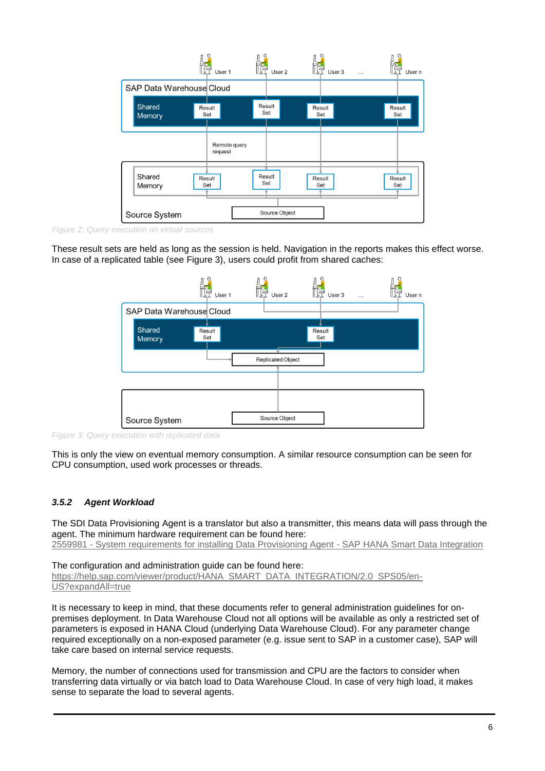

<span id="page-5-1"></span>*Figure 2: Query execution on virtual sources*

These result sets are held as long as the session is held. Navigation in the reports makes this effect worse. In case of a replicated table (see [Figure 3\)](#page-5-2), users could profit from shared caches:



<span id="page-5-2"></span>*Figure 3: Query execution with replicated data*

This is only the view on eventual memory consumption. A similar resource consumption can be seen for CPU consumption, used work processes or threads.

### <span id="page-5-0"></span>*3.5.2 Agent Workload*

The SDI Data Provisioning Agent is a translator but also a transmitter, this means data will pass through the agent. The minimum hardware requirement can be found here: 2559981 - [System requirements for installing Data Provisioning Agent -](https://launchpad.support.sap.com/#/notes/2559981) SAP HANA Smart Data Integration

The configuration and administration guide can be found here:

[https://help.sap.com/viewer/product/HANA\\_SMART\\_DATA\\_INTEGRATION/2.0\\_SPS05/en-](https://help.sap.com/viewer/product/HANA_SMART_DATA_INTEGRATION/2.0_SPS05/en-US?expandAll=true)[US?expandAll=true](https://help.sap.com/viewer/product/HANA_SMART_DATA_INTEGRATION/2.0_SPS05/en-US?expandAll=true)

It is necessary to keep in mind, that these documents refer to general administration guidelines for onpremises deployment. In Data Warehouse Cloud not all options will be available as only a restricted set of parameters is exposed in HANA Cloud (underlying Data Warehouse Cloud). For any parameter change required exceptionally on a non-exposed parameter (e.g. issue sent to SAP in a customer case), SAP will take care based on internal service requests.

Memory, the number of connections used for transmission and CPU are the factors to consider when transferring data virtually or via batch load to Data Warehouse Cloud. In case of very high load, it makes sense to separate the load to several agents.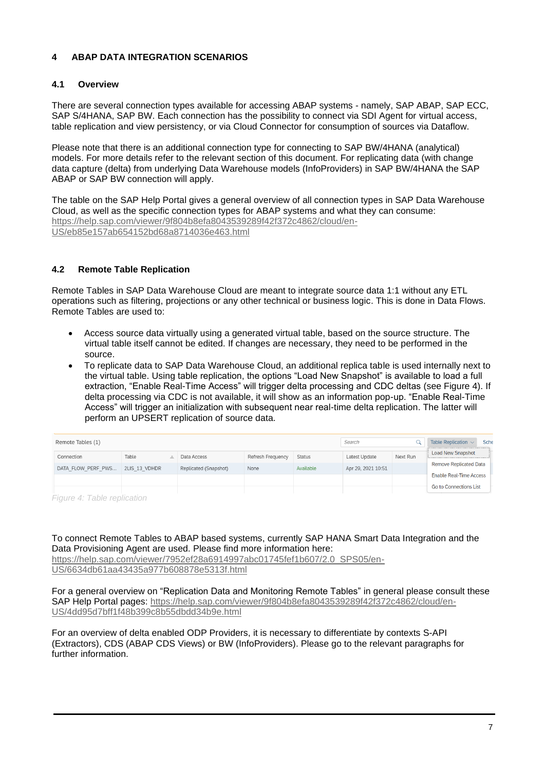### <span id="page-6-1"></span><span id="page-6-0"></span>**4 ABAP DATA INTEGRATION SCENARIOS**

### **4.1 Overview**

There are several connection types available for accessing ABAP systems - namely, SAP ABAP, SAP ECC, SAP S/4HANA, SAP BW. Each connection has the possibility to connect via SDI Agent for virtual access, table replication and view persistency, or via Cloud Connector for consumption of sources via Dataflow.

Please note that there is an additional connection type for connecting to SAP BW/4HANA (analytical) models. For more details refer to the relevant section of this document. For replicating data (with change data capture (delta) from underlying Data Warehouse models (InfoProviders) in SAP BW/4HANA the SAP ABAP or SAP BW connection will apply.

The table on the SAP Help Portal gives a general overview of all connection types in SAP Data Warehouse Cloud, as well as the specific connection types for ABAP systems and what they can consume: [https://help.sap.com/viewer/9f804b8efa8043539289f42f372c4862/cloud/en-](https://help.sap.com/viewer/9f804b8efa8043539289f42f372c4862/cloud/en-US/eb85e157ab654152bd68a8714036e463.html)[US/eb85e157ab654152bd68a8714036e463.html](https://help.sap.com/viewer/9f804b8efa8043539289f42f372c4862/cloud/en-US/eb85e157ab654152bd68a8714036e463.html)

### <span id="page-6-2"></span>**4.2 Remote Table Replication**

Remote Tables in SAP Data Warehouse Cloud are meant to integrate source data 1:1 without any ETL operations such as filtering, projections or any other technical or business logic. This is done in Data Flows. Remote Tables are used to:

- Access source data virtually using a generated virtual table, based on the source structure. The virtual table itself cannot be edited. If changes are necessary, they need to be performed in the source.
- To replicate data to SAP Data Warehouse Cloud, an additional replica table is used internally next to the virtual table. Using table replication, the options "Load New Snapshot" is available to load a full extraction, "Enable Real-Time Access" will trigger delta processing and CDC deltas (see [Figure 4\)](#page-6-3). If delta processing via CDC is not available, it will show as an information pop-up. "Enable Real-Time Access" will trigger an initialization with subsequent near real-time delta replication. The latter will perform an UPSERT replication of source data.

| Remote Tables (1)  |               |                       |                   |               | Search             |          | Table Replication $\sim$<br>Sche |
|--------------------|---------------|-----------------------|-------------------|---------------|--------------------|----------|----------------------------------|
| Connection         | Table         | Data Access           | Refresh Frequency | <b>Status</b> | Latest Update      | Next Run | <b>Load New Snapshot</b>         |
| DATA FLOW PERF PWS | 2LIS 13 VDHDR | Replicated (Snapshot) | None              | Available     | Apr 29, 2021 10:51 |          | <b>Remove Replicated Data</b>    |
|                    |               |                       |                   |               |                    |          | <b>Enable Real-Time Access</b>   |
|                    |               |                       |                   |               |                    |          | <b>Go to Connections List</b>    |

<span id="page-6-3"></span>*Figure 4: Table replication*

To connect Remote Tables to ABAP based systems, currently SAP HANA Smart Data Integration and the Data Provisioning Agent are used. Please find more information here:

[https://help.sap.com/viewer/7952ef28a6914997abc01745fef1b607/2.0\\_SPS05/en-](https://help.sap.com/viewer/7952ef28a6914997abc01745fef1b607/2.0_SPS05/en-US/6634db61aa43435a977b608878e5313f.html)[US/6634db61aa43435a977b608878e5313f.html](https://help.sap.com/viewer/7952ef28a6914997abc01745fef1b607/2.0_SPS05/en-US/6634db61aa43435a977b608878e5313f.html)

For a general overview on "Replication Data and Monitoring Remote Tables" in general please consult these SAP Help Portal pages: [https://help.sap.com/viewer/9f804b8efa8043539289f42f372c4862/cloud/en-](https://help.sap.com/viewer/9f804b8efa8043539289f42f372c4862/cloud/en-US/4dd95d7bff1f48b399c8b55dbdd34b9e.html)[US/4dd95d7bff1f48b399c8b55dbdd34b9e.html](https://help.sap.com/viewer/9f804b8efa8043539289f42f372c4862/cloud/en-US/4dd95d7bff1f48b399c8b55dbdd34b9e.html)

For an overview of delta enabled ODP Providers, it is necessary to differentiate by contexts S-API (Extractors), CDS (ABAP CDS Views) or BW (InfoProviders). Please go to the relevant paragraphs for further information.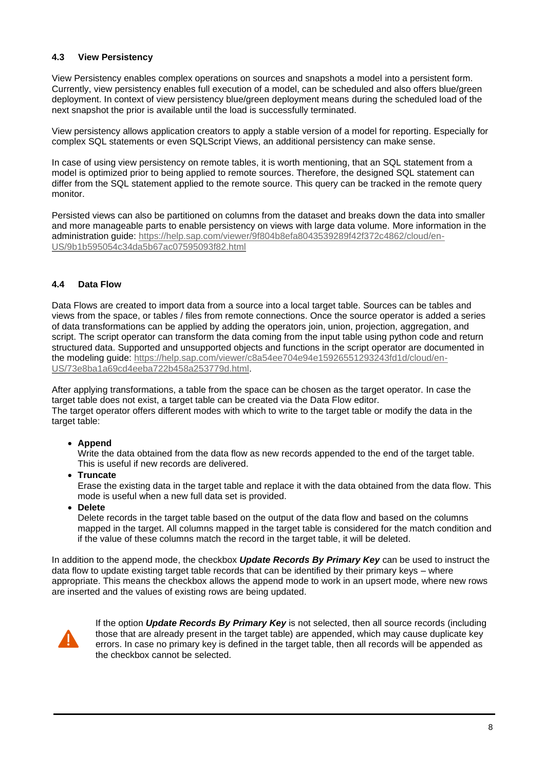### <span id="page-7-0"></span>**4.3 View Persistency**

View Persistency enables complex operations on sources and snapshots a model into a persistent form. Currently, view persistency enables full execution of a model, can be scheduled and also offers blue/green deployment. In context of view persistency blue/green deployment means during the scheduled load of the next snapshot the prior is available until the load is successfully terminated.

View persistency allows application creators to apply a stable version of a model for reporting. Especially for complex SQL statements or even SQLScript Views, an additional persistency can make sense.

In case of using view persistency on remote tables, it is worth mentioning, that an SQL statement from a model is optimized prior to being applied to remote sources. Therefore, the designed SQL statement can differ from the SQL statement applied to the remote source. This query can be tracked in the remote query monitor.

Persisted views can also be partitioned on columns from the dataset and breaks down the data into smaller and more manageable parts to enable persistency on views with large data volume. More information in the administration guide: [https://help.sap.com/viewer/9f804b8efa8043539289f42f372c4862/cloud/en-](https://help.sap.com/viewer/9f804b8efa8043539289f42f372c4862/cloud/en-US/9b1b595054c34da5b67ac07595093f82.html)[US/9b1b595054c34da5b67ac07595093f82.html](https://help.sap.com/viewer/9f804b8efa8043539289f42f372c4862/cloud/en-US/9b1b595054c34da5b67ac07595093f82.html)

### <span id="page-7-1"></span>**4.4 Data Flow**

Data Flows are created to import data from a source into a local target table. Sources can be tables and views from the space, or tables / files from remote connections. Once the source operator is added a series of data transformations can be applied by adding the operators join, union, projection, aggregation, and script. The script operator can transform the data coming from the input table using python code and return structured data. Supported and unsupported objects and functions in the script operator are documented in the modeling guide: [https://help.sap.com/viewer/c8a54ee704e94e15926551293243fd1d/cloud/en-](https://help.sap.com/viewer/c8a54ee704e94e15926551293243fd1d/cloud/en-US/73e8ba1a69cd4eeba722b458a253779d.html)[US/73e8ba1a69cd4eeba722b458a253779d.html.](https://help.sap.com/viewer/c8a54ee704e94e15926551293243fd1d/cloud/en-US/73e8ba1a69cd4eeba722b458a253779d.html)

After applying transformations, a table from the space can be chosen as the target operator. In case the target table does not exist, a target table can be created via the Data Flow editor. The target operator offers different modes with which to write to the target table or modify the data in the target table:

### • **Append**

Write the data obtained from the data flow as new records appended to the end of the target table. This is useful if new records are delivered.

• **Truncate**

Erase the existing data in the target table and replace it with the data obtained from the data flow. This mode is useful when a new full data set is provided.

• **Delete**

Delete records in the target table based on the output of the data flow and based on the columns mapped in the target. All columns mapped in the target table is considered for the match condition and if the value of these columns match the record in the target table, it will be deleted.

In addition to the append mode, the checkbox *Update Records By Primary Key* can be used to instruct the data flow to update existing target table records that can be identified by their primary keys – where appropriate. This means the checkbox allows the append mode to work in an upsert mode, where new rows are inserted and the values of existing rows are being updated.



If the option *Update Records By Primary Key* is not selected, then all source records (including those that are already present in the target table) are appended, which may cause duplicate key errors. In case no primary key is defined in the target table, then all records will be appended as the checkbox cannot be selected.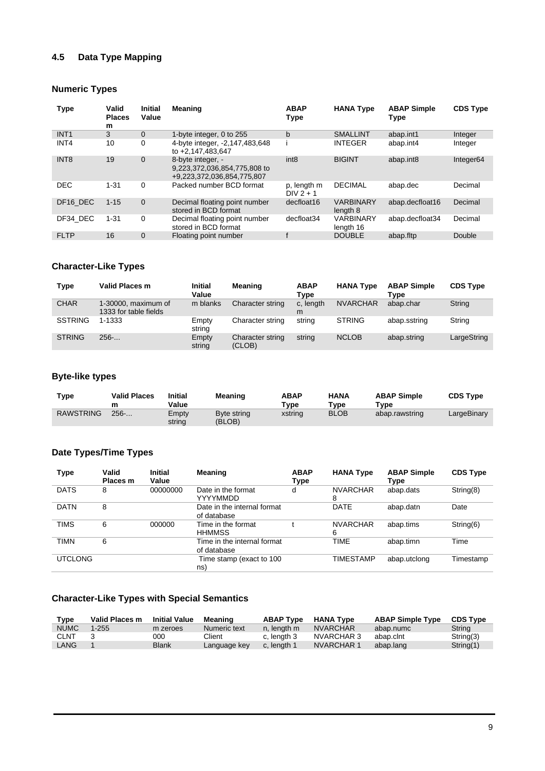### <span id="page-8-0"></span>**4.5 Data Type Mapping**

## **Numeric Types**

| <b>Type</b>      | Valid<br><b>Places</b><br>m | <b>Initial</b><br>Value | <b>Meaning</b>                                                                  | <b>ABAP</b><br>Type        | <b>HANA Type</b>              | <b>ABAP Simple</b><br>Type | <b>CDS Type</b> |
|------------------|-----------------------------|-------------------------|---------------------------------------------------------------------------------|----------------------------|-------------------------------|----------------------------|-----------------|
| INT <sub>1</sub> | 3                           | $\mathbf{0}$            | 1-byte integer, 0 to 255                                                        | b                          | <b>SMALLINT</b>               | abap.int1                  | Integer         |
| INT4             | 10                          | 0                       | 4-byte integer, -2,147,483,648<br>to +2.147.483.647                             |                            | <b>INTEGER</b>                | abap.int4                  | Integer         |
| INT <sub>8</sub> | 19                          | $\overline{0}$          | 8-byte integer. -<br>9,223,372,036,854,775,808 to<br>+9,223,372,036,854,775,807 | int <sub>8</sub>           | <b>BIGINT</b>                 | abap.int8                  | Integer64       |
| <b>DEC</b>       | $1 - 31$                    | $\Omega$                | Packed number BCD format                                                        | p, length m<br>$DIV 2 + 1$ | <b>DECIMAL</b>                | abap.dec                   | Decimal         |
| DF16 DEC         | $1 - 15$                    | $\Omega$                | Decimal floating point number<br>stored in BCD format                           | decfloat16                 | <b>VARBINARY</b><br>length 8  | abap.decfloat16            | Decimal         |
| DF34 DEC         | $1 - 31$                    | 0                       | Decimal floating point number<br>stored in BCD format                           | decfloat34                 | <b>VARBINARY</b><br>length 16 | abap.decfloat34            | Decimal         |
| <b>FLTP</b>      | 16                          | $\Omega$                | Floating point number                                                           |                            | <b>DOUBLE</b>                 | abap.fltp                  | Double          |

### **Character-Like Types**

| Type           | Valid Places m                               | <b>Initial</b><br>Value | <b>Meaning</b>             | <b>ABAP</b><br>Type | <b>HANA Type</b> | <b>ABAP Simple</b><br>Type | <b>CDS Type</b> |
|----------------|----------------------------------------------|-------------------------|----------------------------|---------------------|------------------|----------------------------|-----------------|
| <b>CHAR</b>    | 1-30000, maximum of<br>1333 for table fields | m blanks                | Character string           | c, length<br>m      | <b>NVARCHAR</b>  | abap.char                  | String          |
| <b>SSTRING</b> | 1-1333                                       | Empty<br>string         | Character string           | string              | <b>STRING</b>    | abap.sstring               | String          |
| <b>STRING</b>  | $256-$                                       | Empty<br>string         | Character string<br>(CLOB) | string              | <b>NCLOB</b>     | abap.string                | LargeString     |

### **Byte-like types**

| $T$ vpe          | <b>Valid Places</b><br>m | Initial<br>Value | <b>Meaning</b>        | <b>ABAP</b><br>Type | <b>HANA</b><br>туре | <b>ABAP Simple</b><br>$T$ ype | <b>CDS Type</b> |
|------------------|--------------------------|------------------|-----------------------|---------------------|---------------------|-------------------------------|-----------------|
| <b>RAWSTRING</b> | $256-$                   | Empty<br>string  | Byte string<br>(BLOB) | xstring             | <b>BLOB</b>         | abap.rawstring                | LargeBinary     |

## **Date Types/Time Types**

| Type           | Valid<br>Places m | <b>Initial</b><br>Value | <b>Meaning</b>                             | <b>ABAP</b><br>Type | <b>HANA Type</b>     | <b>ABAP Simple</b><br>Type | <b>CDS Type</b> |
|----------------|-------------------|-------------------------|--------------------------------------------|---------------------|----------------------|----------------------------|-----------------|
| <b>DATS</b>    | 8                 | 00000000                | Date in the format<br>YYYYMMDD             | d                   | <b>NVARCHAR</b><br>8 | abap.dats                  | String(8)       |
| <b>DATN</b>    | 8                 |                         | Date in the internal format<br>of database |                     | <b>DATE</b>          | abap.datn                  | Date            |
| <b>TIMS</b>    | 6                 | 000000                  | Time in the format<br><b>HHMMSS</b>        |                     | <b>NVARCHAR</b><br>6 | abap.tims                  | String(6)       |
| TIMN           | 6                 |                         | Time in the internal format<br>of database |                     | <b>TIME</b>          | abap.timn                  | Time            |
| <b>UTCLONG</b> |                   |                         | Time stamp (exact to 100<br>ns)            |                     | <b>TIMESTAMP</b>     | abap.utclong               | Timestamp       |

## **Character-Like Types with Special Semantics**

| Type        | Valid Places m | Initial Value | Meaning      | <b>ABAP Type</b> | <b>HANA Type</b> | <b>ABAP Simple Type</b> | <b>CDS Type</b> |
|-------------|----------------|---------------|--------------|------------------|------------------|-------------------------|-----------------|
| <b>NUMC</b> | $1 - 255$      | m zeroes      | Numeric text | n, length m      | <b>NVARCHAR</b>  | abap.numc               | String          |
| <b>CLNT</b> |                | 000           | Client       | c, length 3      | NVARCHAR 3       | abap.clnt               | String(3)       |
| LANG        |                | <b>Blank</b>  | Language key | c, length 1      | NVARCHAR 1       | abap.lang               | String(1)       |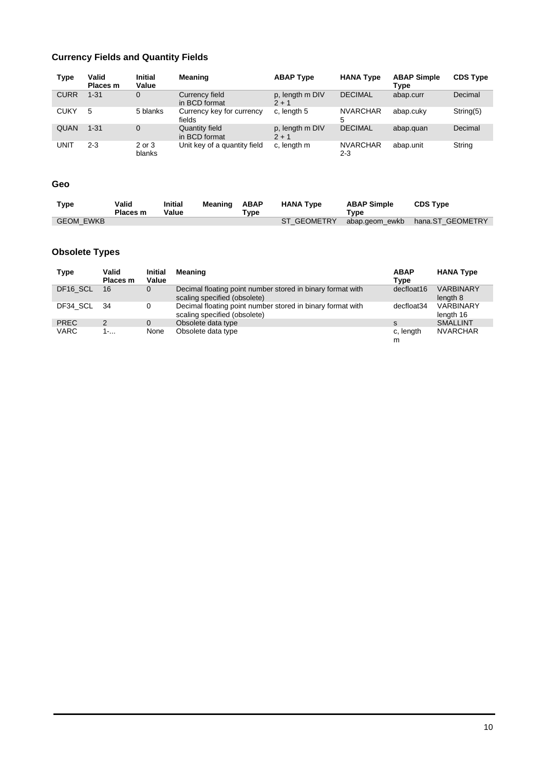## **Currency Fields and Quantity Fields**

| <b>Type</b> | Valid<br>Places m | <b>Initial</b><br>Value | Meaning                             | <b>ABAP Type</b>           | <b>HANA Type</b>           | <b>ABAP Simple</b><br>Type | <b>CDS Type</b> |
|-------------|-------------------|-------------------------|-------------------------------------|----------------------------|----------------------------|----------------------------|-----------------|
| <b>CURR</b> | $1 - 31$          | 0                       | Currency field<br>in BCD format     | p, length m DIV<br>$2 + 1$ | <b>DECIMAL</b>             | abap.curr                  | Decimal         |
| <b>CUKY</b> | 5                 | 5 blanks                | Currency key for currency<br>fields | c, length 5                | <b>NVARCHAR</b><br>5       | abap.cuky                  | String(5)       |
| <b>QUAN</b> | $1 - 31$          | 0                       | Quantity field<br>in BCD format     | p, length m DIV<br>$2 + 1$ | <b>DECIMAL</b>             | abap.quan                  | Decimal         |
| UNIT        | $2 - 3$           | 2 or 3<br>blanks        | Unit key of a quantity field        | c, length m                | <b>NVARCHAR</b><br>$2 - 3$ | abap.unit                  | String          |

### **Geo**

| <b>Type</b>      | Valid<br>Places m | <b>Initial</b><br>Value | Meaning | <b>ABAP</b><br>$\mathsf{v}$ pe | <b>HANA Type</b> | <b>ABAP Simple</b><br>™vpe | <b>CDS Type</b>  |
|------------------|-------------------|-------------------------|---------|--------------------------------|------------------|----------------------------|------------------|
| <b>GEOM EWKB</b> |                   |                         |         |                                | ST GEOMETRY      | abap.geom ewkb             | hana.ST GEOMETRY |

## **Obsolete Types**

| <b>Type</b> | Valid<br>Places m | <b>Initial</b><br>Value | Meaning                                                                                    | <b>ABAP</b><br>Type | <b>HANA Type</b>              |
|-------------|-------------------|-------------------------|--------------------------------------------------------------------------------------------|---------------------|-------------------------------|
| DF16 SCL    | 16                | 0                       | Decimal floating point number stored in binary format with<br>scaling specified (obsolete) | decfloat16          | <b>VARBINARY</b><br>length 8  |
| DF34 SCL    | -34               | 0                       | Decimal floating point number stored in binary format with<br>scaling specified (obsolete) | decfloat34          | <b>VARBINARY</b><br>length 16 |
| <b>PREC</b> | 2                 | $\Omega$                | Obsolete data type                                                                         | S                   | <b>SMALLINT</b>               |
| <b>VARC</b> | $1 - $            | None                    | Obsolete data type                                                                         | c, length<br>m      | <b>NVARCHAR</b>               |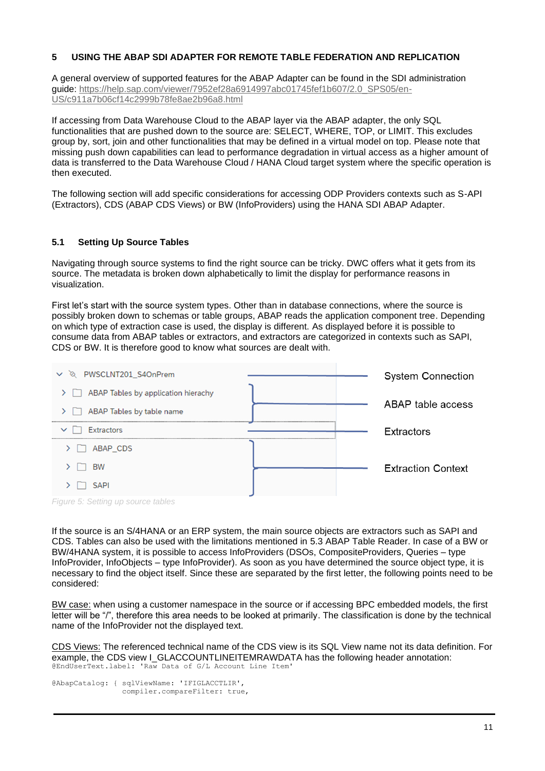### <span id="page-10-0"></span>**5 USING THE ABAP SDI ADAPTER FOR REMOTE TABLE FEDERATION AND REPLICATION**

A general overview of supported features for the ABAP Adapter can be found in the SDI administration guide: [https://help.sap.com/viewer/7952ef28a6914997abc01745fef1b607/2.0\\_SPS05/en-](https://help.sap.com/viewer/7952ef28a6914997abc01745fef1b607/2.0_SPS05/en-US/c911a7b06cf14c2999b78fe8ae2b96a8.html)[US/c911a7b06cf14c2999b78fe8ae2b96a8.html](https://help.sap.com/viewer/7952ef28a6914997abc01745fef1b607/2.0_SPS05/en-US/c911a7b06cf14c2999b78fe8ae2b96a8.html)

If accessing from Data Warehouse Cloud to the ABAP layer via the ABAP adapter, the only SQL functionalities that are pushed down to the source are: SELECT, WHERE, TOP, or LIMIT. This excludes group by, sort, join and other functionalities that may be defined in a virtual model on top. Please note that missing push down capabilities can lead to performance degradation in virtual access as a higher amount of data is transferred to the Data Warehouse Cloud / HANA Cloud target system where the specific operation is then executed.

The following section will add specific considerations for accessing ODP Providers contexts such as S-API (Extractors), CDS (ABAP CDS Views) or BW (InfoProviders) using the HANA SDI ABAP Adapter.

### <span id="page-10-1"></span>**5.1 Setting Up Source Tables**

Navigating through source systems to find the right source can be tricky. DWC offers what it gets from its source. The metadata is broken down alphabetically to limit the display for performance reasons in visualization.

First let's start with the source system types. Other than in database connections, where the source is possibly broken down to schemas or table groups, ABAP reads the application component tree. Depending on which type of extraction case is used, the display is different. As displayed before it is possible to consume data from ABAP tables or extractors, and extractors are categorized in contexts such as SAPI, CDS or BW. It is therefore good to know what sources are dealt with.





If the source is an S/4HANA or an ERP system, the main source objects are extractors such as SAPI and CDS. Tables can also be used with the limitations mentioned in [5.3](#page-15-0) [ABAP Table Reader.](#page-15-0) In case of a BW or BW/4HANA system, it is possible to access InfoProviders (DSOs, CompositeProviders, Queries – type InfoProvider, InfoObjects – type InfoProvider). As soon as you have determined the source object type, it is necessary to find the object itself. Since these are separated by the first letter, the following points need to be considered:

BW case: when using a customer namespace in the source or if accessing BPC embedded models, the first letter will be "/", therefore this area needs to be looked at primarily. The classification is done by the technical name of the InfoProvider not the displayed text.

CDS Views: The referenced technical name of the CDS view is its SQL View name not its data definition. For example, the CDS view I\_GLACCOUNTLINEITEMRAWDATA has the following header annotation: @EndUserText.label: 'Raw Data of G/L Account Line Item'

@AbapCatalog: { sqlViewName: 'IFIGLACCTLIR', compiler.compareFilter: true,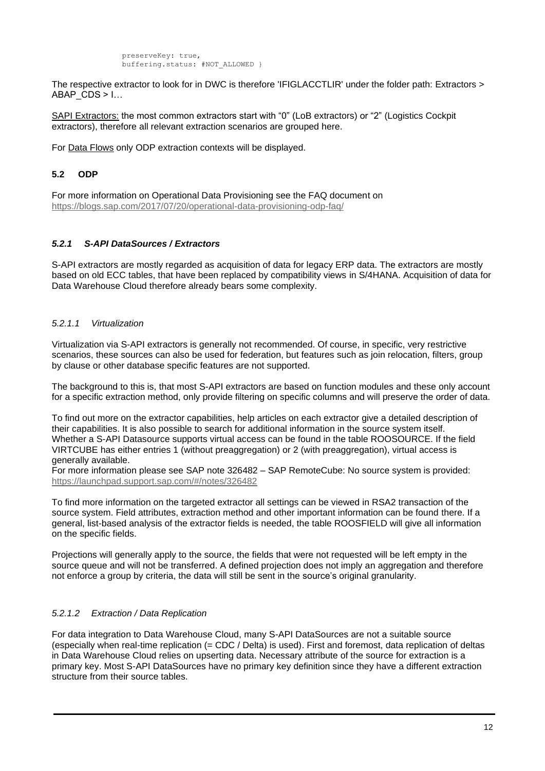preserveKey: true, buffering.status: #NOT ALLOWED }

The respective extractor to look for in DWC is therefore 'IFIGLACCTLIR' under the folder path: Extractors > ABAP\_CDS > I…

SAPI Extractors: the most common extractors start with "0" (LoB extractors) or "2" (Logistics Cockpit extractors), therefore all relevant extraction scenarios are grouped here.

<span id="page-11-0"></span>For Data Flows only ODP extraction contexts will be displayed.

### **5.2 ODP**

For more information on Operational Data Provisioning see the FAQ document on <https://blogs.sap.com/2017/07/20/operational-data-provisioning-odp-faq/>

### <span id="page-11-1"></span>*5.2.1 S-API DataSources / Extractors*

S-API extractors are mostly regarded as acquisition of data for legacy ERP data. The extractors are mostly based on old ECC tables, that have been replaced by compatibility views in S/4HANA. Acquisition of data for Data Warehouse Cloud therefore already bears some complexity.

### *5.2.1.1 Virtualization*

Virtualization via S-API extractors is generally not recommended. Of course, in specific, very restrictive scenarios, these sources can also be used for federation, but features such as join relocation, filters, group by clause or other database specific features are not supported.

The background to this is, that most S-API extractors are based on function modules and these only account for a specific extraction method, only provide filtering on specific columns and will preserve the order of data.

To find out more on the extractor capabilities, help articles on each extractor give a detailed description of their capabilities. It is also possible to search for additional information in the source system itself. Whether a S-API Datasource supports virtual access can be found in the table ROOSOURCE. If the field VIRTCUBE has either entries 1 (without preaggregation) or 2 (with preaggregation), virtual access is generally available.

For more information please see SAP note 326482 – SAP RemoteCube: No source system is provided: <https://launchpad.support.sap.com/#/notes/326482>

To find more information on the targeted extractor all settings can be viewed in RSA2 transaction of the source system. Field attributes, extraction method and other important information can be found there. If a general, list-based analysis of the extractor fields is needed, the table ROOSFIELD will give all information on the specific fields.

Projections will generally apply to the source, the fields that were not requested will be left empty in the source queue and will not be transferred. A defined projection does not imply an aggregation and therefore not enforce a group by criteria, the data will still be sent in the source's original granularity.

### *5.2.1.2 Extraction / Data Replication*

For data integration to Data Warehouse Cloud, many S-API DataSources are not a suitable source (especially when real-time replication (= CDC / Delta) is used). First and foremost, data replication of deltas in Data Warehouse Cloud relies on upserting data. Necessary attribute of the source for extraction is a primary key. Most S-API DataSources have no primary key definition since they have a different extraction structure from their source tables.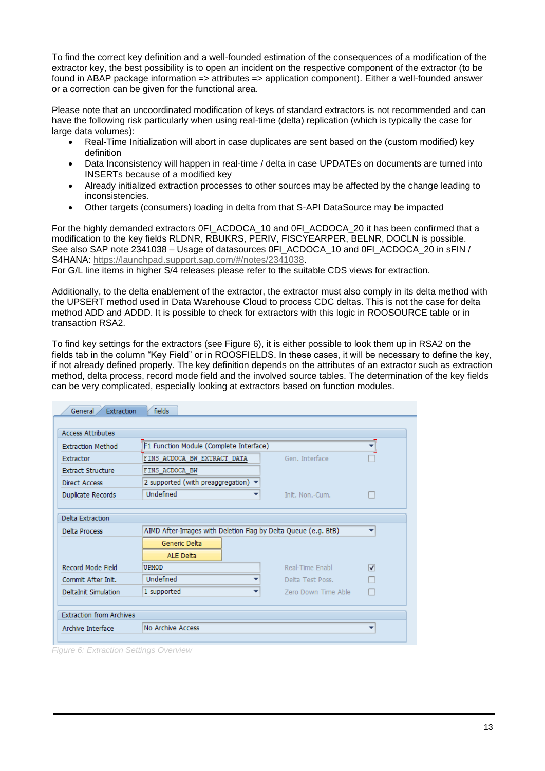To find the correct key definition and a well-founded estimation of the consequences of a modification of the extractor key, the best possibility is to open an incident on the respective component of the extractor (to be found in ABAP package information => attributes => application component). Either a well-founded answer or a correction can be given for the functional area.

Please note that an uncoordinated modification of keys of standard extractors is not recommended and can have the following risk particularly when using real-time (delta) replication (which is typically the case for large data volumes):

- Real-Time Initialization will abort in case duplicates are sent based on the (custom modified) key definition
- Data Inconsistency will happen in real-time / delta in case UPDATEs on documents are turned into INSERTs because of a modified key
- Already initialized extraction processes to other sources may be affected by the change leading to inconsistencies.
- Other targets (consumers) loading in delta from that S-API DataSource may be impacted

For the highly demanded extractors 0FI\_ACDOCA\_10 and 0FI\_ACDOCA\_20 it has been confirmed that a modification to the key fields RLDNR, RBUKRS, PERIV, FISCYEARPER, BELNR, DOCLN is possible. See also SAP note 2341038 – Usage of datasources 0FI\_ACDOCA\_10 and 0FI\_ACDOCA\_20 in sFIN / S4HANA: [https://launchpad.support.sap.com/#/notes/2341038.](https://launchpad.support.sap.com/#/notes/2341038)

For G/L line items in higher S/4 releases please refer to the suitable CDS views for extraction.

Additionally, to the delta enablement of the extractor, the extractor must also comply in its delta method with the UPSERT method used in Data Warehouse Cloud to process CDC deltas. This is not the case for delta method ADD and ADDD. It is possible to check for extractors with this logic in ROOSOURCE table or in transaction RSA2.

To find key settings for the extractors (see [Figure 6\)](#page-12-0), it is either possible to look them up in RSA2 on the fields tab in the column "Key Field" or in ROOSFIELDS. In these cases, it will be necessary to define the key, if not already defined properly. The key definition depends on the attributes of an extractor such as extraction method, delta process, record mode field and the involved source tables. The determination of the key fields can be very complicated, especially looking at extractors based on function modules.

| Extraction<br><b>General</b>    | fields                                                         |                     |                    |
|---------------------------------|----------------------------------------------------------------|---------------------|--------------------|
|                                 |                                                                |                     |                    |
| <b>Access Attributes</b>        |                                                                |                     |                    |
| <b>Extraction Method</b>        | F1 Function Module (Complete Interface)                        |                     |                    |
| Extractor                       | FINS ACDOCA BW EXTRACT DATA                                    | Gen. Interface      |                    |
| <b>Extract Structure</b>        | FINS ACDOCA BW                                                 |                     |                    |
| <b>Direct Access</b>            | 2 supported (with preaggregation) $\blacktriangledown$         |                     |                    |
| Duplicate Records               | Undefined                                                      | Init. Non.-Cum.     |                    |
|                                 |                                                                |                     |                    |
| Delta Extraction                |                                                                |                     |                    |
| Delta Process                   | AIMD After-Images with Deletion Flag by Delta Queue (e.g. BtB) |                     | ▼                  |
|                                 | Generic Delta                                                  |                     |                    |
|                                 | ALE Delta                                                      |                     |                    |
| Record Mode Field               | <b>UPMOD</b>                                                   | Real-Time Enabl     | $\vert \checkmark$ |
| Commit After Init.              | <b>Undefined</b>                                               | Delta Test Poss.    |                    |
| DeltaInit Simulation            | 1 supported                                                    | Zero Down Time Able |                    |
|                                 |                                                                |                     |                    |
| <b>Extraction from Archives</b> |                                                                |                     |                    |
| Archive Interface               | No Archive Access                                              |                     |                    |
|                                 |                                                                |                     |                    |

<span id="page-12-0"></span>*Figure 6: Extraction Settings Overview*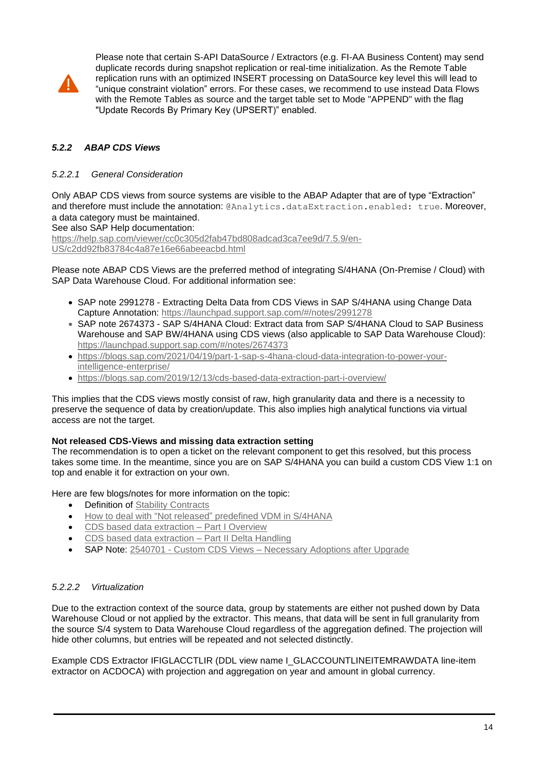Please note that certain S-API DataSource / Extractors (e.g. FI-AA Business Content) may send duplicate records during snapshot replication or real-time initialization. As the Remote Table replication runs with an optimized INSERT processing on DataSource key level this will lead to "unique constraint violation" errors. For these cases, we recommend to use instead Data Flows with the Remote Tables as source and the target table set to Mode "APPEND" with the flag "Update Records By Primary Key (UPSERT)" enabled.

### <span id="page-13-0"></span>*5.2.2 ABAP CDS Views*

### *5.2.2.1 General Consideration*

Only ABAP CDS views from source systems are visible to the ABAP Adapter that are of type "Extraction" and therefore must include the annotation: @Analytics.dataExtraction.enabled: true. Moreover, a data category must be maintained.

See also SAP Help documentation:

[https://help.sap.com/viewer/cc0c305d2fab47bd808adcad3ca7ee9d/7.5.9/en-](https://help.sap.com/viewer/cc0c305d2fab47bd808adcad3ca7ee9d/7.5.9/en-US/c2dd92fb83784c4a87e16e66abeeacbd.html)[US/c2dd92fb83784c4a87e16e66abeeacbd.html](https://help.sap.com/viewer/cc0c305d2fab47bd808adcad3ca7ee9d/7.5.9/en-US/c2dd92fb83784c4a87e16e66abeeacbd.html)

Please note ABAP CDS Views are the preferred method of integrating S/4HANA (On-Premise / Cloud) with SAP Data Warehouse Cloud. For additional information see:

- SAP note 2991278 Extracting Delta Data from CDS Views in SAP S/4HANA using Change Data Capture Annotation:<https://launchpad.support.sap.com/#/notes/2991278>
- SAP note 2674373 SAP S/4HANA Cloud: Extract data from SAP S/4HANA Cloud to SAP Business Warehouse and SAP BW/4HANA using CDS views (also applicable to SAP Data Warehouse Cloud): <https://launchpad.support.sap.com/#/notes/2674373>
- [https://blogs.sap.com/2021/04/19/part-1-sap-s-4hana-cloud-data-integration-to-power-your](https://blogs.sap.com/2021/04/19/part-1-sap-s-4hana-cloud-data-integration-to-power-your-intelligence-enterprise/)[intelligence-enterprise/](https://blogs.sap.com/2021/04/19/part-1-sap-s-4hana-cloud-data-integration-to-power-your-intelligence-enterprise/)
- <https://blogs.sap.com/2019/12/13/cds-based-data-extraction-part-i-overview/>

This implies that the CDS views mostly consist of raw, high granularity data and there is a necessity to preserve the sequence of data by creation/update. This also implies high analytical functions via virtual access are not the target.

### **Not released CDS-Views and missing data extraction setting**

The recommendation is to open a ticket on the relevant component to get this resolved, but this process takes some time. In the meantime, since you are on SAP S/4HANA you can build a custom CDS View 1:1 on top and enable it for extraction on your own.

Here are few blogs/notes for more information on the topic:

- Definition of [Stability Contracts](https://help.sap.com/viewer/8308e6d301d54584a33cd04a9861bc52/1909.000/en-US/2e4edbede2f94fb7b7f6eac856c02b19.html)
- [How to deal with "Not released"](https://blogs.sap.com/2019/05/23/how-to-deal-with-not-released-predefined-vdm-in-s4hana/) predefined VDM in S/4HANA
- [CDS based data extraction –](https://blogs.sap.com/2019/12/13/cds-based-data-extraction-part-i-overview/) Part I Overview
- [CDS based data extraction –](https://blogs.sap.com/2019/12/16/cds-based-data-extraction-part-ii-delta-handling/) Part II Delta Handling
- SAP Note: 2540701 Custom CDS Views [Necessary Adoptions after Upgrade](https://launchpad.support.sap.com/#/notes/2540701)

### *5.2.2.2 Virtualization*

Due to the extraction context of the source data, group by statements are either not pushed down by Data Warehouse Cloud or not applied by the extractor. This means, that data will be sent in full granularity from the source S/4 system to Data Warehouse Cloud regardless of the aggregation defined. The projection will hide other columns, but entries will be repeated and not selected distinctly.

Example CDS Extractor IFIGLACCTLIR (DDL view name I\_GLACCOUNTLINEITEMRAWDATA line-item extractor on ACDOCA) with projection and aggregation on year and amount in global currency.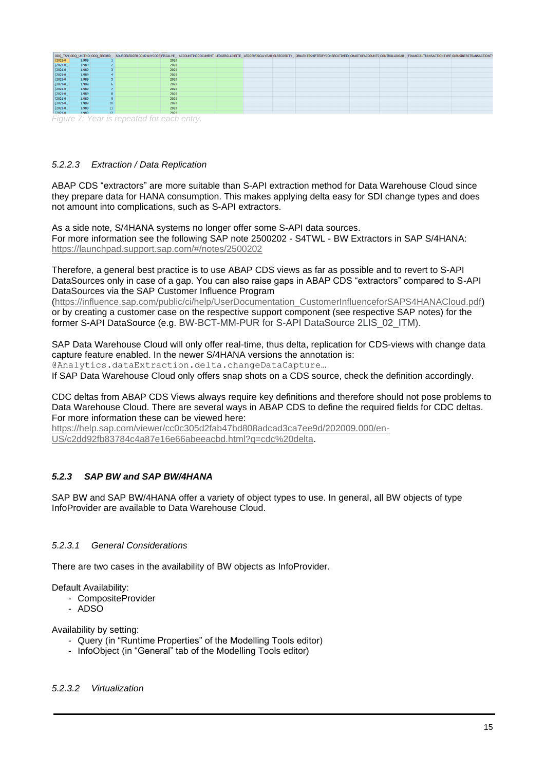

### *5.2.2.3 Extraction / Data Replication*

ABAP CDS "extractors" are more suitable than S-API extraction method for Data Warehouse Cloud since they prepare data for HANA consumption. This makes applying delta easy for SDI change types and does not amount into complications, such as S-API extractors.

As a side note, S/4HANA systems no longer offer some S-API data sources. For more information see the following SAP note 2500202 - S4TWL - BW Extractors in SAP S/4HANA: <https://launchpad.support.sap.com/#/notes/2500202>

Therefore, a general best practice is to use ABAP CDS views as far as possible and to revert to S-API DataSources only in case of a gap. You can also raise gaps in ABAP CDS "extractors" compared to S-API DataSources via the SAP Customer Influence Program

[\(https://influence.sap.com/public/ci/help/UserDocumentation\\_CustomerInfluenceforSAPS4HANACloud.pdf\)](https://influence.sap.com/public/ci/help/UserDocumentation_CustomerInfluenceforSAPS4HANACloud.pdf) or by creating a customer case on the respective support component (see respective SAP notes) for the former S-API DataSource (e.g. BW-BCT-MM-PUR for S-API DataSource 2LIS\_02\_ITM).

SAP Data Warehouse Cloud will only offer real-time, thus delta, replication for CDS-views with change data capture feature enabled. In the newer S/4HANA versions the annotation is: @Analytics.dataExtraction.delta.changeDataCapture…

If SAP Data Warehouse Cloud only offers snap shots on a CDS source, check the definition accordingly.

CDC deltas from ABAP CDS Views always require key definitions and therefore should not pose problems to Data Warehouse Cloud. There are several ways in ABAP CDS to define the required fields for CDC deltas. For more information these can be viewed here:

[https://help.sap.com/viewer/cc0c305d2fab47bd808adcad3ca7ee9d/202009.000/en-](https://help.sap.com/viewer/cc0c305d2fab47bd808adcad3ca7ee9d/202009.000/en-US/c2dd92fb83784c4a87e16e66abeeacbd.html?q=cdc%20delta)[US/c2dd92fb83784c4a87e16e66abeeacbd.html?q=cdc%20delta.](https://help.sap.com/viewer/cc0c305d2fab47bd808adcad3ca7ee9d/202009.000/en-US/c2dd92fb83784c4a87e16e66abeeacbd.html?q=cdc%20delta)

### <span id="page-14-0"></span>*5.2.3 SAP BW and SAP BW/4HANA*

SAP BW and SAP BW/4HANA offer a variety of object types to use. In general, all BW objects of type InfoProvider are available to Data Warehouse Cloud.

### *5.2.3.1 General Considerations*

There are two cases in the availability of BW objects as InfoProvider.

Default Availability:

- CompositeProvider
- ADSO

Availability by setting:

- Query (in "Runtime Properties" of the Modelling Tools editor)
- InfoObject (in "General" tab of the Modelling Tools editor)

#### *5.2.3.2 Virtualization*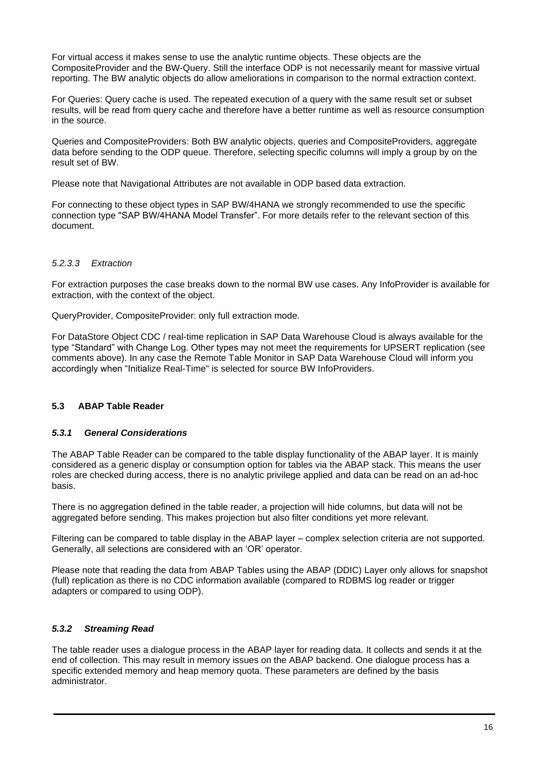For virtual access it makes sense to use the analytic runtime objects. These objects are the CompositeProvider and the BW-Query. Still the interface ODP is not necessarily meant for massive virtual reporting. The BW analytic objects do allow ameliorations in comparison to the normal extraction context.

For Queries: Query cache is used. The repeated execution of a query with the same result set or subset results, will be read from query cache and therefore have a better runtime as well as resource consumption in the source.

Queries and CompositeProviders: Both BW analytic objects, queries and CompositeProviders, aggregate data before sending to the ODP queue. Therefore, selecting specific columns will imply a group by on the result set of BW.

Please note that Navigational Attributes are not available in ODP based data extraction.

For connecting to these object types in SAP BW/4HANA we strongly recommended to use the specific connection type "SAP BW/4HANA Model Transfer". For more details refer to the relevant section of this document.

### *5.2.3.3 Extraction*

For extraction purposes the case breaks down to the normal BW use cases. Any InfoProvider is available for extraction, with the context of the object.

QueryProvider, CompositeProvider: only full extraction mode.

For DataStore Object CDC / real-time replication in SAP Data Warehouse Cloud is always available for the type "Standard" with Change Log. Other types may not meet the requirements for UPSERT replication (see comments above). In any case the Remote Table Monitor in SAP Data Warehouse Cloud will inform you accordingly when "Initialize Real-Time" is selected for source BW InfoProviders.

### <span id="page-15-1"></span><span id="page-15-0"></span>**5.3 ABAP Table Reader**

### *5.3.1 General Considerations*

The ABAP Table Reader can be compared to the table display functionality of the ABAP layer. It is mainly considered as a generic display or consumption option for tables via the ABAP stack. This means the user roles are checked during access, there is no analytic privilege applied and data can be read on an ad-hoc basis.

There is no aggregation defined in the table reader, a projection will hide columns, but data will not be aggregated before sending. This makes projection but also filter conditions yet more relevant.

Filtering can be compared to table display in the ABAP layer – complex selection criteria are not supported. Generally, all selections are considered with an 'OR' operator.

Please note that reading the data from ABAP Tables using the ABAP (DDIC) Layer only allows for snapshot (full) replication as there is no CDC information available (compared to RDBMS log reader or trigger adapters or compared to using ODP).

### <span id="page-15-2"></span>*5.3.2 Streaming Read*

The table reader uses a dialogue process in the ABAP layer for reading data. It collects and sends it at the end of collection. This may result in memory issues on the ABAP backend. One dialogue process has a specific extended memory and heap memory quota. These parameters are defined by the basis administrator.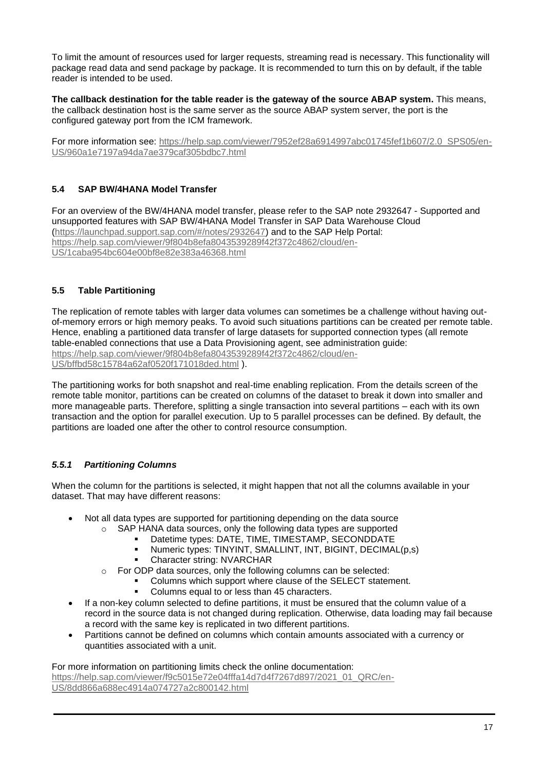To limit the amount of resources used for larger requests, streaming read is necessary. This functionality will package read data and send package by package. It is recommended to turn this on by default, if the table reader is intended to be used.

**The callback destination for the table reader is the gateway of the source ABAP system.** This means, the callback destination host is the same server as the source ABAP system server, the port is the configured gateway port from the ICM framework.

For more information see: [https://help.sap.com/viewer/7952ef28a6914997abc01745fef1b607/2.0\\_SPS05/en-](https://help.sap.com/viewer/7952ef28a6914997abc01745fef1b607/2.0_SPS05/en-US/960a1e7197a94da7ae379caf305bdbc7.html)[US/960a1e7197a94da7ae379caf305bdbc7.html](https://help.sap.com/viewer/7952ef28a6914997abc01745fef1b607/2.0_SPS05/en-US/960a1e7197a94da7ae379caf305bdbc7.html)

### <span id="page-16-0"></span>**5.4 SAP BW/4HANA Model Transfer**

For an overview of the BW/4HANA model transfer, please refer to the SAP note 2932647 - [Supported and](https://launchpad.support.sap.com/#/notes/2932647)  [unsupported features with SAP BW/4HANA Model Transfer in SAP Data](https://launchpad.support.sap.com/#/notes/2932647) Warehouse Cloud [\(https://launchpad.support.sap.com/#/notes/2932647\)](https://launchpad.support.sap.com/#/notes/2932647) and to the SAP Help Portal: [https://help.sap.com/viewer/9f804b8efa8043539289f42f372c4862/cloud/en-](https://help.sap.com/viewer/9f804b8efa8043539289f42f372c4862/cloud/en-US/1caba954bc604e00bf8e82e383a46368.html)[US/1caba954bc604e00bf8e82e383a46368.html](https://help.sap.com/viewer/9f804b8efa8043539289f42f372c4862/cloud/en-US/1caba954bc604e00bf8e82e383a46368.html)

### <span id="page-16-1"></span>**5.5 Table Partitioning**

The replication of remote tables with larger data volumes can sometimes be a challenge without having outof-memory errors or high memory peaks. To avoid such situations partitions can be created per remote table. Hence, enabling a partitioned data transfer of large datasets for supported connection types (all remote table-enabled connections that use a Data Provisioning agent, see administration guide: [https://help.sap.com/viewer/9f804b8efa8043539289f42f372c4862/cloud/en-](https://help.sap.com/viewer/9f804b8efa8043539289f42f372c4862/cloud/en-US/bffbd58c15784a62af0520f171018ded.html)[US/bffbd58c15784a62af0520f171018ded.html](https://help.sap.com/viewer/9f804b8efa8043539289f42f372c4862/cloud/en-US/bffbd58c15784a62af0520f171018ded.html) ).

The partitioning works for both snapshot and real-time enabling replication. From the details screen of the remote table monitor, partitions can be created on columns of the dataset to break it down into smaller and more manageable parts. Therefore, splitting a single transaction into several partitions – each with its own transaction and the option for parallel execution. Up to 5 parallel processes can be defined. By default, the partitions are loaded one after the other to control resource consumption.

### <span id="page-16-2"></span>*5.5.1 Partitioning Columns*

When the column for the partitions is selected, it might happen that not all the columns available in your dataset. That may have different reasons:

- Not all data types are supported for partitioning depending on the data source
	- o SAP HANA data sources, only the following data types are supported
		- Datetime types: DATE, TIME, TIMESTAMP, SECONDDATE
		- Numeric types: TINYINT, SMALLINT, INT, BIGINT, DECIMAL(p,s)
		- Character string: NVARCHAR
	- o For ODP data sources, only the following columns can be selected:
		- Columns which support where clause of the SELECT statement.
			- Columns equal to or less than 45 characters.
- If a non-key column selected to define partitions, it must be ensured that the column value of a record in the source data is not changed during replication. Otherwise, data loading may fail because a record with the same key is replicated in two different partitions.
- Partitions cannot be defined on columns which contain amounts associated with a currency or quantities associated with a unit.

For more information on partitioning limits check the online documentation: [https://help.sap.com/viewer/f9c5015e72e04fffa14d7d4f7267d897/2021\\_01\\_QRC/en-](https://help.sap.com/viewer/f9c5015e72e04fffa14d7d4f7267d897/2021_01_QRC/en-US/8dd866a688ec4914a074727a2c800142.html)

[US/8dd866a688ec4914a074727a2c800142.html](https://help.sap.com/viewer/f9c5015e72e04fffa14d7d4f7267d897/2021_01_QRC/en-US/8dd866a688ec4914a074727a2c800142.html)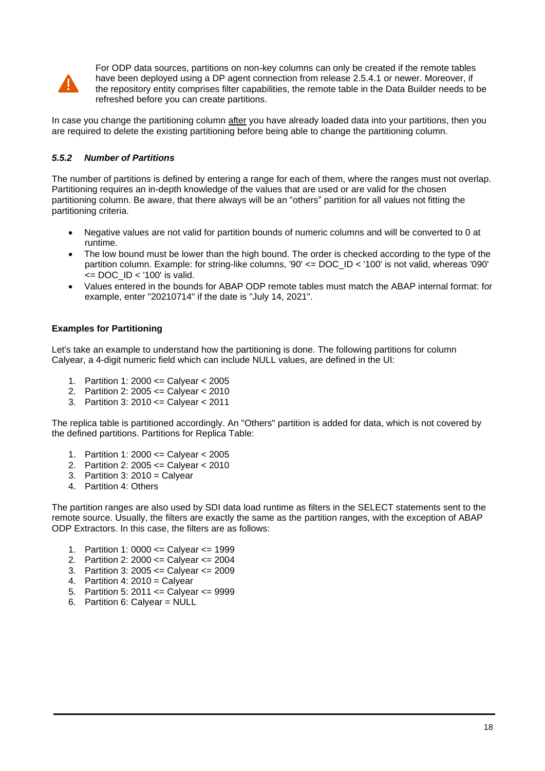

For ODP data sources, partitions on non-key columns can only be created if the remote tables have been deployed using a DP agent connection from release 2.5.4.1 or newer. Moreover, if the repository entity comprises filter capabilities, the remote table in the Data Builder needs to be refreshed before you can create partitions.

In case you change the partitioning column after you have already loaded data into your partitions, then you are required to delete the existing partitioning before being able to change the partitioning column.

### <span id="page-17-0"></span>*5.5.2 Number of Partitions*

The number of partitions is defined by entering a range for each of them, where the ranges must not overlap. Partitioning requires an in-depth knowledge of the values that are used or are valid for the chosen partitioning column. Be aware, that there always will be an "others" partition for all values not fitting the partitioning criteria.

- Negative values are not valid for partition bounds of numeric columns and will be converted to 0 at runtime.
- The low bound must be lower than the high bound. The order is checked according to the type of the partition column. Example: for string-like columns, '90' <= DOC\_ID < '100' is not valid, whereas '090'  $\leq$  DOC ID  $\leq$  '100' is valid.
- Values entered in the bounds for ABAP ODP remote tables must match the ABAP internal format: for example, enter "20210714" if the date is "July 14, 2021".

### **Examples for Partitioning**

Let's take an example to understand how the partitioning is done. The following partitions for column Calyear, a 4-digit numeric field which can include NULL values, are defined in the UI:

- 1. Partition 1: 2000 <= Calyear < 2005
- 2. Partition 2: 2005 <= Calyear < 2010
- 3. Partition 3: 2010 <= Calyear < 2011

The replica table is partitioned accordingly. An "Others" partition is added for data, which is not covered by the defined partitions. Partitions for Replica Table:

- 1. Partition 1: 2000 <= Calyear < 2005
- 2. Partition 2: 2005 <= Calyear < 2010
- 3. Partition 3: 2010 = Calyear
- 4. Partition 4: Others

The partition ranges are also used by SDI data load runtime as filters in the SELECT statements sent to the remote source. Usually, the filters are exactly the same as the partition ranges, with the exception of ABAP ODP Extractors. In this case, the filters are as follows:

- 1. Partition 1: 0000 <= Calyear <= 1999
- 2. Partition 2: 2000 <= Calyear <= 2004
- 3. Partition 3: 2005 <= Calyear <= 2009
- 4. Partition 4: 2010 = Calyear
- 5. Partition 5: 2011 <= Calyear <= 9999
- 6. Partition 6: Calyear = NULL